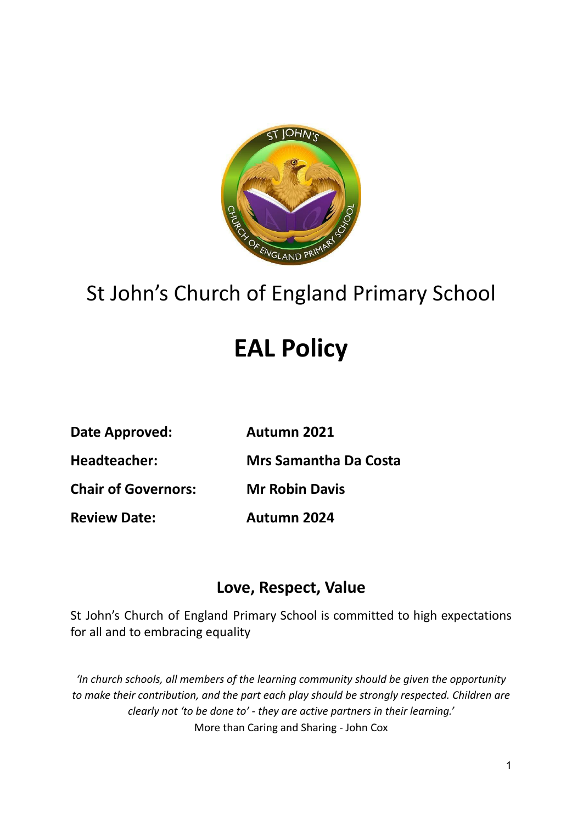

## St John's Church of England Primary School

# **EAL Policy**

| <b>Autumn 2021</b> |
|--------------------|
|                    |

**Headteacher: Mrs Samantha Da Costa**

**Chair of Governors: Mr Robin Davis**

**Review Date: Autumn 2024**

### **Love, Respect, Value**

St John's Church of England Primary School is committed to high expectations for all and to embracing equality

*'In church schools, all members of the learning community should be given the opportunity to make their contribution, and the part each play should be strongly respected. Children are clearly not 'to be done to' - they are active partners in their learning.'* More than Caring and Sharing - John Cox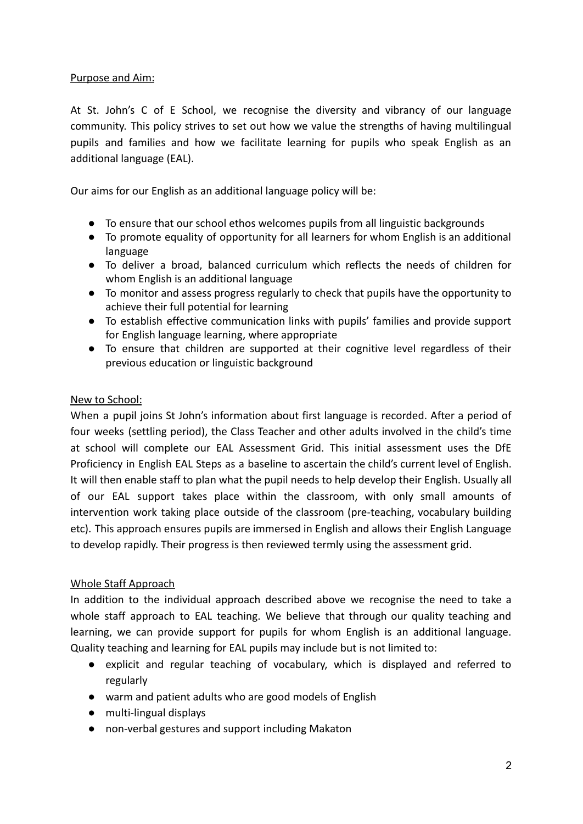#### Purpose and Aim:

At St. John's C of E School, we recognise the diversity and vibrancy of our language community. This policy strives to set out how we value the strengths of having multilingual pupils and families and how we facilitate learning for pupils who speak English as an additional language (EAL).

Our aims for our English as an additional language policy will be:

- To ensure that our school ethos welcomes pupils from all linguistic backgrounds
- To promote equality of opportunity for all learners for whom English is an additional language
- To deliver a broad, balanced curriculum which reflects the needs of children for whom English is an additional language
- To monitor and assess progress regularly to check that pupils have the opportunity to achieve their full potential for learning
- To establish effective communication links with pupils' families and provide support for English language learning, where appropriate
- To ensure that children are supported at their cognitive level regardless of their previous education or linguistic background

#### New to School:

When a pupil joins St John's information about first language is recorded. After a period of four weeks (settling period), the Class Teacher and other adults involved in the child's time at school will complete our EAL Assessment Grid. This initial assessment uses the DfE Proficiency in English EAL Steps as a baseline to ascertain the child's current level of English. It will then enable staff to plan what the pupil needs to help develop their English. Usually all of our EAL support takes place within the classroom, with only small amounts of intervention work taking place outside of the classroom (pre-teaching, vocabulary building etc). This approach ensures pupils are immersed in English and allows their English Language to develop rapidly. Their progress is then reviewed termly using the assessment grid.

#### Whole Staff Approach

In addition to the individual approach described above we recognise the need to take a whole staff approach to EAL teaching. We believe that through our quality teaching and learning, we can provide support for pupils for whom English is an additional language. Quality teaching and learning for EAL pupils may include but is not limited to:

- explicit and regular teaching of vocabulary, which is displayed and referred to regularly
- warm and patient adults who are good models of English
- multi-lingual displays
- non-verbal gestures and support including Makaton